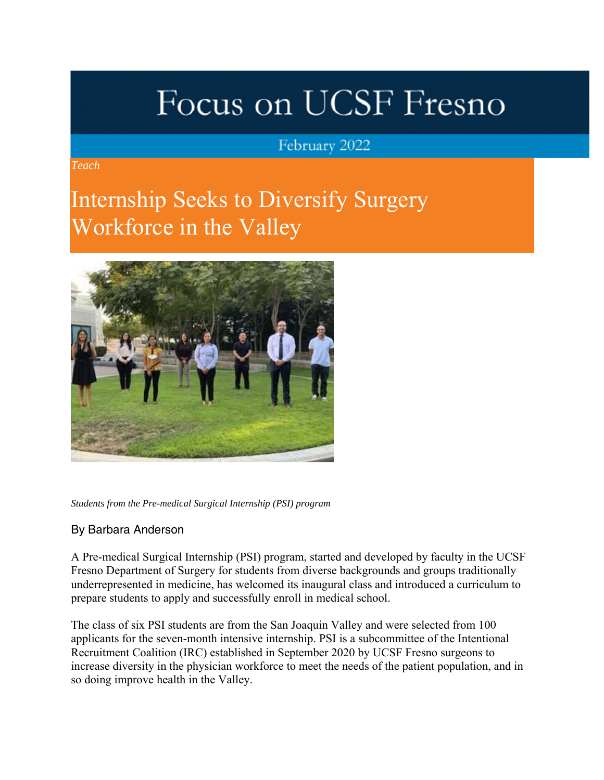# Focus on UCSF Fresno

### February 2022

*Teach*

### Internship Seeks to Diversify Surgery Workforce in the Valley



*Students from the Pre-medical Surgical Internship (PSI) program*

#### By Barbara Anderson

A Pre-medical Surgical Internship (PSI) program, started and developed by faculty in the UCSF Fresno Department of Surgery for students from diverse backgrounds and groups traditionally underrepresented in medicine, has welcomed its inaugural class and introduced a curriculum to prepare students to apply and successfully enroll in medical school.

The class of six PSI students are from the San Joaquin Valley and were selected from 100 applicants for the seven-month intensive internship. PSI is a subcommittee of the Intentional Recruitment Coalition (IRC) established in September 2020 by UCSF Fresno surgeons to increase diversity in the physician workforce to meet the needs of the patient population, and in so doing improve health in the Valley.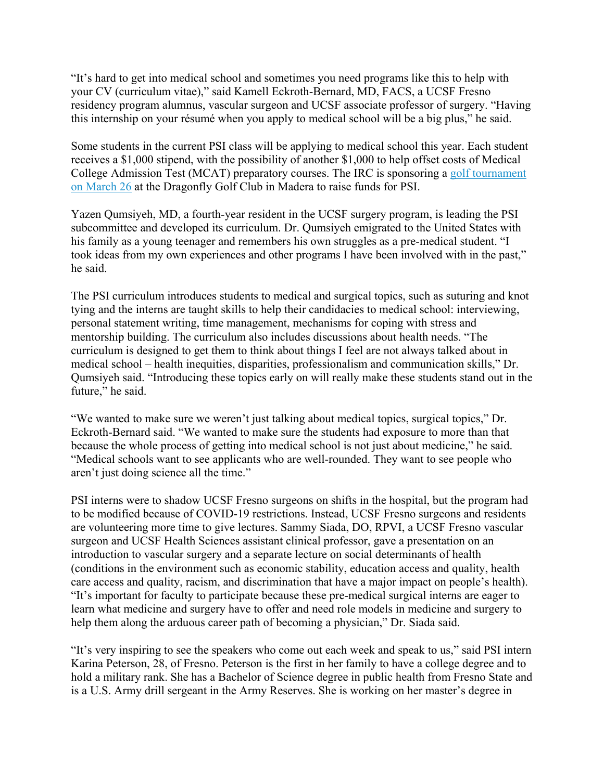"It's hard to get into medical school and sometimes you need programs like this to help with your CV (curriculum vitae)," said Kamell Eckroth-Bernard, MD, FACS, a UCSF Fresno residency program alumnus, vascular surgeon and UCSF associate professor of surgery. "Having this internship on your résumé when you apply to medical school will be a big plus," he said.

Some students in the current PSI class will be applying to medical school this year. Each student receives a \$1,000 stipend, with the possibility of another \$1,000 to help offset costs of Medical College Admission Test (MCAT) preparatory courses. The IRC is sponsoring a golf tournament on March 26 at the Dragonfly Golf Club in Madera to raise funds for PSI.

Yazen Qumsiyeh, MD, a fourth-year resident in the UCSF surgery program, is leading the PSI subcommittee and developed its curriculum. Dr. Qumsiyeh emigrated to the United States with his family as a young teenager and remembers his own struggles as a pre-medical student. "I took ideas from my own experiences and other programs I have been involved with in the past," he said.

The PSI curriculum introduces students to medical and surgical topics, such as suturing and knot tying and the interns are taught skills to help their candidacies to medical school: interviewing, personal statement writing, time management, mechanisms for coping with stress and mentorship building. The curriculum also includes discussions about health needs. "The curriculum is designed to get them to think about things I feel are not always talked about in medical school – health inequities, disparities, professionalism and communication skills," Dr. Qumsiyeh said. "Introducing these topics early on will really make these students stand out in the future," he said.

"We wanted to make sure we weren't just talking about medical topics, surgical topics," Dr. Eckroth-Bernard said. "We wanted to make sure the students had exposure to more than that because the whole process of getting into medical school is not just about medicine," he said. "Medical schools want to see applicants who are well-rounded. They want to see people who aren't just doing science all the time."

PSI interns were to shadow UCSF Fresno surgeons on shifts in the hospital, but the program had to be modified because of COVID-19 restrictions. Instead, UCSF Fresno surgeons and residents are volunteering more time to give lectures. Sammy Siada, DO, RPVI, a UCSF Fresno vascular surgeon and UCSF Health Sciences assistant clinical professor, gave a presentation on an introduction to vascular surgery and a separate lecture on social determinants of health (conditions in the environment such as economic stability, education access and quality, health care access and quality, racism, and discrimination that have a major impact on people's health). "It's important for faculty to participate because these pre-medical surgical interns are eager to learn what medicine and surgery have to offer and need role models in medicine and surgery to help them along the arduous career path of becoming a physician," Dr. Siada said.

"It's very inspiring to see the speakers who come out each week and speak to us," said PSI intern Karina Peterson, 28, of Fresno. Peterson is the first in her family to have a college degree and to hold a military rank. She has a Bachelor of Science degree in public health from Fresno State and is a U.S. Army drill sergeant in the Army Reserves. She is working on her master's degree in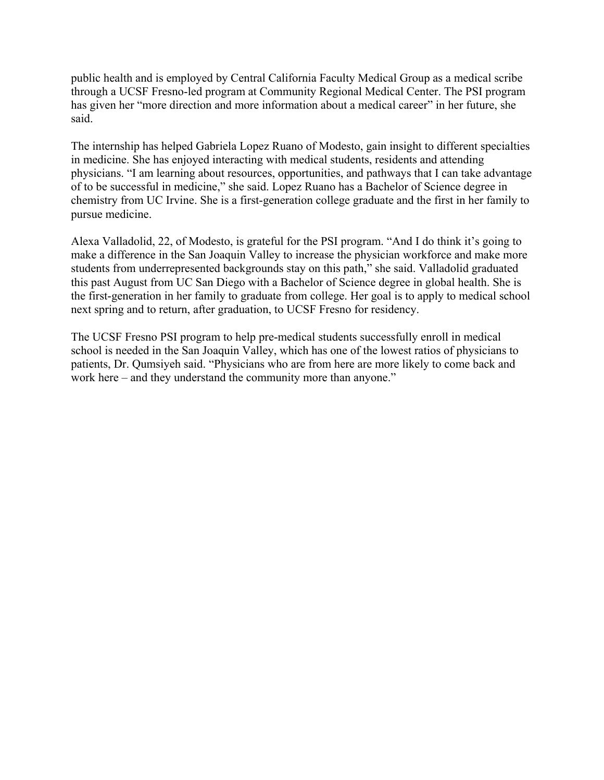public health and is employed by Central California Faculty Medical Group as a medical scribe through a UCSF Fresno-led program at Community Regional Medical Center. The PSI program has given her "more direction and more information about a medical career" in her future, she said.

The internship has helped Gabriela Lopez Ruano of Modesto, gain insight to different specialties in medicine. She has enjoyed interacting with medical students, residents and attending physicians. "I am learning about resources, opportunities, and pathways that I can take advantage of to be successful in medicine," she said. Lopez Ruano has a Bachelor of Science degree in chemistry from UC Irvine. She is a first-generation college graduate and the first in her family to pursue medicine.

Alexa Valladolid, 22, of Modesto, is grateful for the PSI program. "And I do think it's going to make a difference in the San Joaquin Valley to increase the physician workforce and make more students from underrepresented backgrounds stay on this path," she said. Valladolid graduated this past August from UC San Diego with a Bachelor of Science degree in global health. She is the first-generation in her family to graduate from college. Her goal is to apply to medical school next spring and to return, after graduation, to UCSF Fresno for residency.

The UCSF Fresno PSI program to help pre-medical students successfully enroll in medical school is needed in the San Joaquin Valley, which has one of the lowest ratios of physicians to patients, Dr. Qumsiyeh said. "Physicians who are from here are more likely to come back and work here – and they understand the community more than anyone."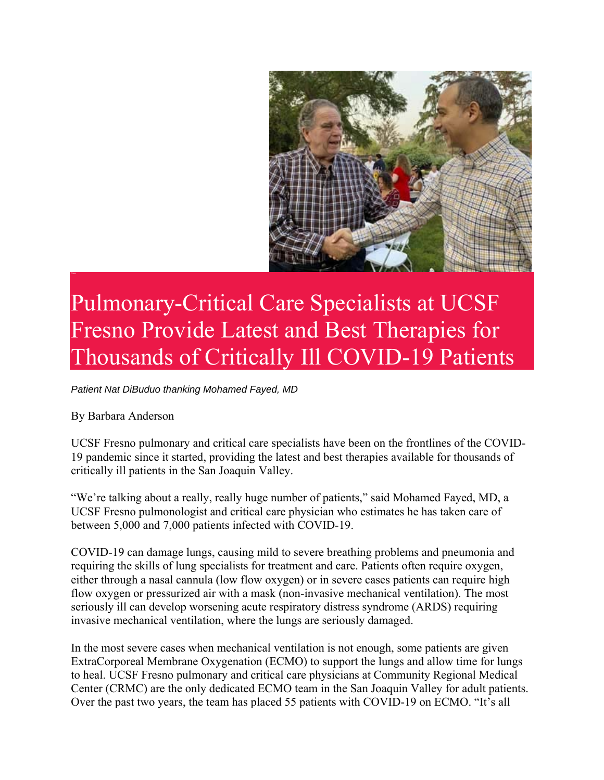

## Pulmonary-Critical Care Specialists at UCSF Fresno Provide Latest and Best Therapies for Thousands of Critically Ill COVID-19 Patients

*Patient Nat DiBuduo thanking Mohamed Fayed, MD*

By Barbara Anderson

UCSF Fresno pulmonary and critical care specialists have been on the frontlines of the COVID-19 pandemic since it started, providing the latest and best therapies available for thousands of critically ill patients in the San Joaquin Valley.

"We're talking about a really, really huge number of patients," said Mohamed Fayed, MD, a UCSF Fresno pulmonologist and critical care physician who estimates he has taken care of between 5,000 and 7,000 patients infected with COVID-19.

COVID-19 can damage lungs, causing mild to severe breathing problems and pneumonia and requiring the skills of lung specialists for treatment and care. Patients often require oxygen, either through a nasal cannula (low flow oxygen) or in severe cases patients can require high flow oxygen or pressurized air with a mask (non-invasive mechanical ventilation). The most seriously ill can develop worsening acute respiratory distress syndrome (ARDS) requiring invasive mechanical ventilation, where the lungs are seriously damaged.

In the most severe cases when mechanical ventilation is not enough, some patients are given ExtraCorporeal Membrane Oxygenation (ECMO) to support the lungs and allow time for lungs to heal. UCSF Fresno pulmonary and critical care physicians at Community Regional Medical Center (CRMC) are the only dedicated ECMO team in the San Joaquin Valley for adult patients. Over the past two years, the team has placed 55 patients with COVID-19 on ECMO. "It's all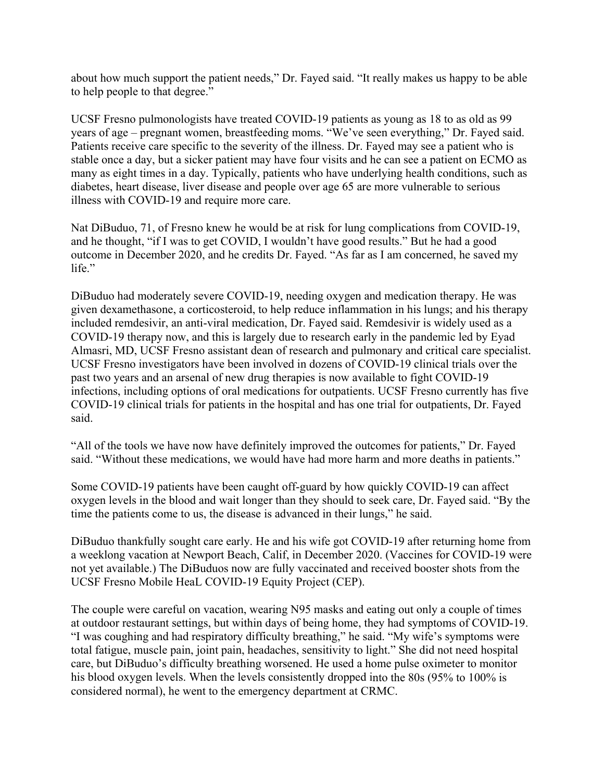about how much support the patient needs," Dr. Fayed said. "It really makes us happy to be able to help people to that degree."

UCSF Fresno pulmonologists have treated COVID-19 patients as young as 18 to as old as 99 years of age – pregnant women, breastfeeding moms. "We've seen everything," Dr. Fayed said. Patients receive care specific to the severity of the illness. Dr. Fayed may see a patient who is stable once a day, but a sicker patient may have four visits and he can see a patient on ECMO as many as eight times in a day. Typically, patients who have underlying health conditions, such as diabetes, heart disease, liver disease and people over age 65 are more vulnerable to serious illness with COVID-19 and require more care.

Nat DiBuduo, 71, of Fresno knew he would be at risk for lung complications from COVID-19, and he thought, "if I was to get COVID, I wouldn't have good results." But he had a good outcome in December 2020, and he credits Dr. Fayed. "As far as I am concerned, he saved my life."

DiBuduo had moderately severe COVID-19, needing oxygen and medication therapy. He was given dexamethasone, a corticosteroid, to help reduce inflammation in his lungs; and his therapy included remdesivir, an anti-viral medication, Dr. Fayed said. Remdesivir is widely used as a COVID-19 therapy now, and this is largely due to research early in the pandemic led by Eyad Almasri, MD, UCSF Fresno assistant dean of research and pulmonary and critical care specialist. UCSF Fresno investigators have been involved in dozens of COVID-19 clinical trials over the past two years and an arsenal of new drug therapies is now available to fight COVID-19 infections, including options of oral medications for outpatients. UCSF Fresno currently has five COVID-19 clinical trials for patients in the hospital and has one trial for outpatients, Dr. Fayed said.

"All of the tools we have now have definitely improved the outcomes for patients," Dr. Fayed said. "Without these medications, we would have had more harm and more deaths in patients."

Some COVID-19 patients have been caught off-guard by how quickly COVID-19 can affect oxygen levels in the blood and wait longer than they should to seek care, Dr. Fayed said. "By the time the patients come to us, the disease is advanced in their lungs," he said.

DiBuduo thankfully sought care early. He and his wife got COVID-19 after returning home from a weeklong vacation at Newport Beach, Calif, in December 2020. (Vaccines for COVID-19 were not yet available.) The DiBuduos now are fully vaccinated and received booster shots from the UCSF Fresno Mobile HeaL COVID-19 Equity Project (CEP).

The couple were careful on vacation, wearing N95 masks and eating out only a couple of times at outdoor restaurant settings, but within days of being home, they had symptoms of COVID-19. "I was coughing and had respiratory difficulty breathing," he said. "My wife's symptoms were total fatigue, muscle pain, joint pain, headaches, sensitivity to light." She did not need hospital care, but DiBuduo's difficulty breathing worsened. He used a home pulse oximeter to monitor his blood oxygen levels. When the levels consistently dropped into the 80s (95% to 100% is considered normal), he went to the emergency department at CRMC.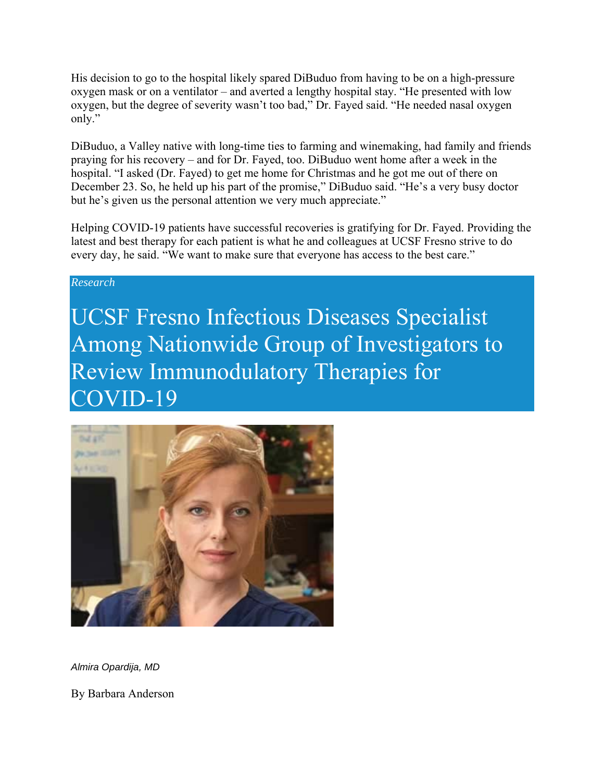His decision to go to the hospital likely spared DiBuduo from having to be on a high-pressure oxygen mask or on a ventilator – and averted a lengthy hospital stay. "He presented with low oxygen, but the degree of severity wasn't too bad," Dr. Fayed said. "He needed nasal oxygen only."

DiBuduo, a Valley native with long-time ties to farming and winemaking, had family and friends praying for his recovery – and for Dr. Fayed, too. DiBuduo went home after a week in the hospital. "I asked (Dr. Fayed) to get me home for Christmas and he got me out of there on December 23. So, he held up his part of the promise," DiBuduo said. "He's a very busy doctor but he's given us the personal attention we very much appreciate."

Helping COVID-19 patients have successful recoveries is gratifying for Dr. Fayed. Providing the latest and best therapy for each patient is what he and colleagues at UCSF Fresno strive to do every day, he said. "We want to make sure that everyone has access to the best care."

#### *Research*

UCSF Fresno Infectious Diseases Specialist Among Nationwide Group of Investigators to Review Immunodulatory Therapies for COVID-19



*Almira Opardija, MD*

By Barbara Anderson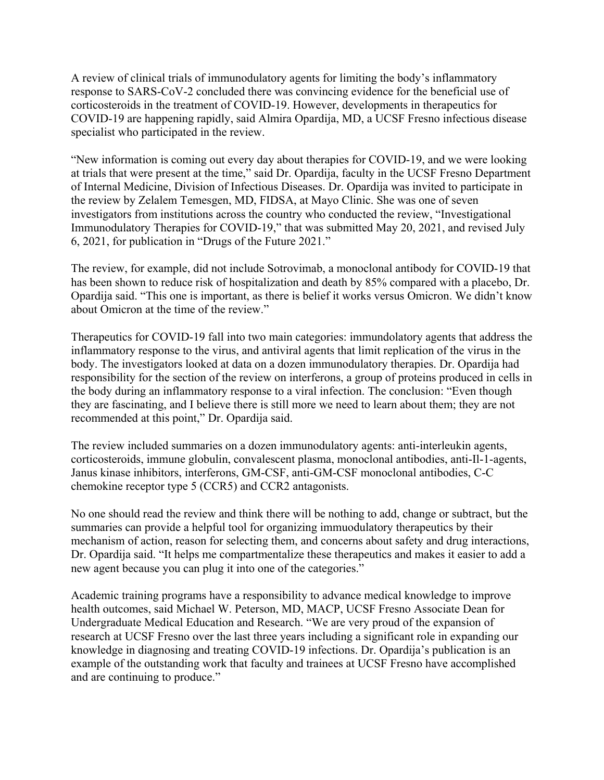A review of clinical trials of immunodulatory agents for limiting the body's inflammatory response to SARS-CoV-2 concluded there was convincing evidence for the beneficial use of corticosteroids in the treatment of COVID-19. However, developments in therapeutics for COVID-19 are happening rapidly, said Almira Opardija, MD, a UCSF Fresno infectious disease specialist who participated in the review.

"New information is coming out every day about therapies for COVID-19, and we were looking at trials that were present at the time," said Dr. Opardija, faculty in the UCSF Fresno Department of Internal Medicine, Division of Infectious Diseases. Dr. Opardija was invited to participate in the review by Zelalem Temesgen, MD, FIDSA, at Mayo Clinic. She was one of seven investigators from institutions across the country who conducted the review, "Investigational Immunodulatory Therapies for COVID-19," that was submitted May 20, 2021, and revised July 6, 2021, for publication in "Drugs of the Future 2021."

The review, for example, did not include Sotrovimab, a monoclonal antibody for COVID-19 that has been shown to reduce risk of hospitalization and death by 85% compared with a placebo, Dr. Opardija said. "This one is important, as there is belief it works versus Omicron. We didn't know about Omicron at the time of the review."

Therapeutics for COVID-19 fall into two main categories: immundolatory agents that address the inflammatory response to the virus, and antiviral agents that limit replication of the virus in the body. The investigators looked at data on a dozen immunodulatory therapies. Dr. Opardija had responsibility for the section of the review on interferons, a group of proteins produced in cells in the body during an inflammatory response to a viral infection. The conclusion: "Even though they are fascinating, and I believe there is still more we need to learn about them; they are not recommended at this point," Dr. Opardija said.

The review included summaries on a dozen immunodulatory agents: anti-interleukin agents, corticosteroids, immune globulin, convalescent plasma, monoclonal antibodies, anti-Il-1-agents, Janus kinase inhibitors, interferons, GM-CSF, anti-GM-CSF monoclonal antibodies, C-C chemokine receptor type 5 (CCR5) and CCR2 antagonists.

No one should read the review and think there will be nothing to add, change or subtract, but the summaries can provide a helpful tool for organizing immuodulatory therapeutics by their mechanism of action, reason for selecting them, and concerns about safety and drug interactions, Dr. Opardija said. "It helps me compartmentalize these therapeutics and makes it easier to add a new agent because you can plug it into one of the categories."

Academic training programs have a responsibility to advance medical knowledge to improve health outcomes, said Michael W. Peterson, MD, MACP, UCSF Fresno Associate Dean for Undergraduate Medical Education and Research. "We are very proud of the expansion of research at UCSF Fresno over the last three years including a significant role in expanding our knowledge in diagnosing and treating COVID-19 infections. Dr. Opardija's publication is an example of the outstanding work that faculty and trainees at UCSF Fresno have accomplished and are continuing to produce."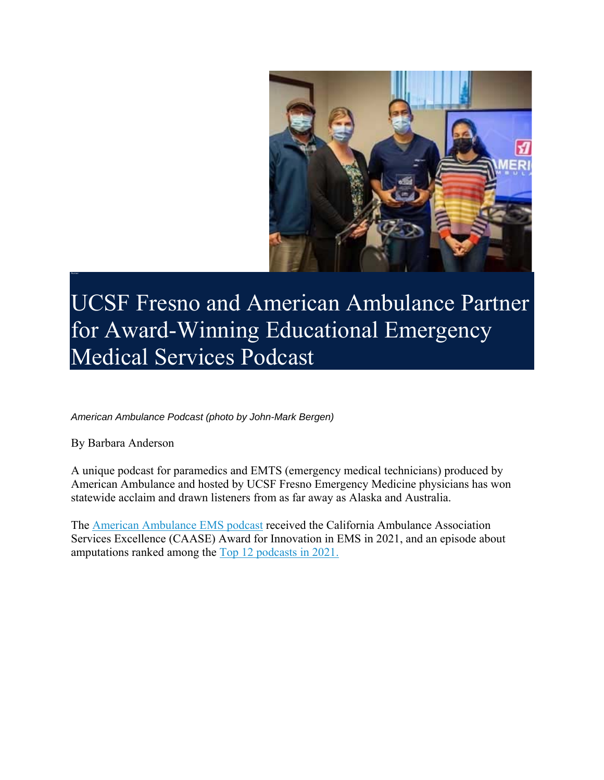

UCSF Fresno and American Ambulance Partner for Award-Winning Educational Emergency Medical Services Podcast

*American Ambulance Podcast (photo by John-Mark Bergen)*

By Barbara Anderson

A unique podcast for paramedics and EMTS (emergency medical technicians) produced by American Ambulance and hosted by UCSF Fresno Emergency Medicine physicians has won statewide acclaim and drawn listeners from as far away as Alaska and Australia.

The American Ambulance EMS podcast received the California Ambulance Association Services Excellence (CAASE) Award for Innovation in EMS in 2021, and an episode about amputations ranked among the Top 12 podcasts in 2021.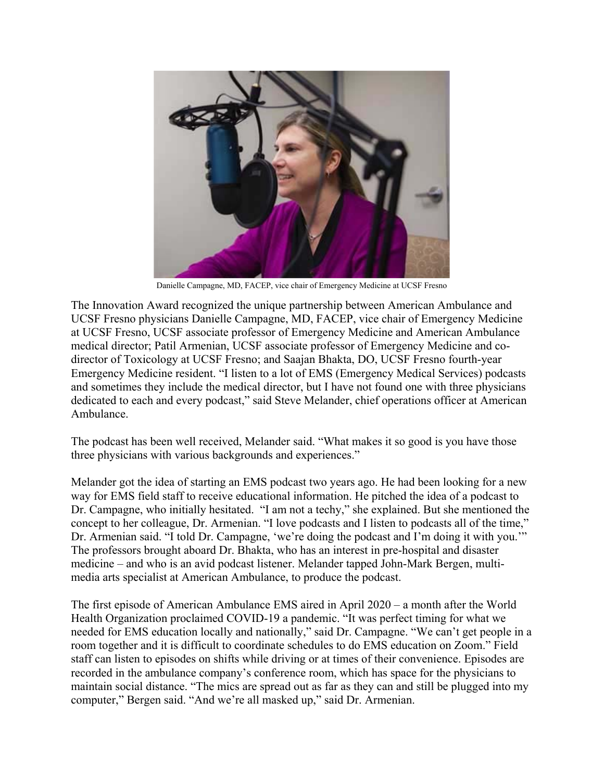

Danielle Campagne, MD, FACEP, vice chair of Emergency Medicine at UCSF Fresno

The Innovation Award recognized the unique partnership between American Ambulance and UCSF Fresno physicians Danielle Campagne, MD, FACEP, vice chair of Emergency Medicine at UCSF Fresno, UCSF associate professor of Emergency Medicine and American Ambulance medical director; Patil Armenian, UCSF associate professor of Emergency Medicine and codirector of Toxicology at UCSF Fresno; and Saajan Bhakta, DO, UCSF Fresno fourth-year Emergency Medicine resident. "I listen to a lot of EMS (Emergency Medical Services) podcasts and sometimes they include the medical director, but I have not found one with three physicians dedicated to each and every podcast," said Steve Melander, chief operations officer at American Ambulance.

The podcast has been well received, Melander said. "What makes it so good is you have those three physicians with various backgrounds and experiences."

Melander got the idea of starting an EMS podcast two years ago. He had been looking for a new way for EMS field staff to receive educational information. He pitched the idea of a podcast to Dr. Campagne, who initially hesitated. "I am not a techy," she explained. But she mentioned the concept to her colleague, Dr. Armenian. "I love podcasts and I listen to podcasts all of the time," Dr. Armenian said. "I told Dr. Campagne, 'we're doing the podcast and I'm doing it with you.'" The professors brought aboard Dr. Bhakta, who has an interest in pre-hospital and disaster medicine – and who is an avid podcast listener. Melander tapped John-Mark Bergen, multimedia arts specialist at American Ambulance, to produce the podcast.

The first episode of American Ambulance EMS aired in April 2020 – a month after the World Health Organization proclaimed COVID-19 a pandemic. "It was perfect timing for what we needed for EMS education locally and nationally," said Dr. Campagne. "We can't get people in a room together and it is difficult to coordinate schedules to do EMS education on Zoom." Field staff can listen to episodes on shifts while driving or at times of their convenience. Episodes are recorded in the ambulance company's conference room, which has space for the physicians to maintain social distance. "The mics are spread out as far as they can and still be plugged into my computer," Bergen said. "And we're all masked up," said Dr. Armenian.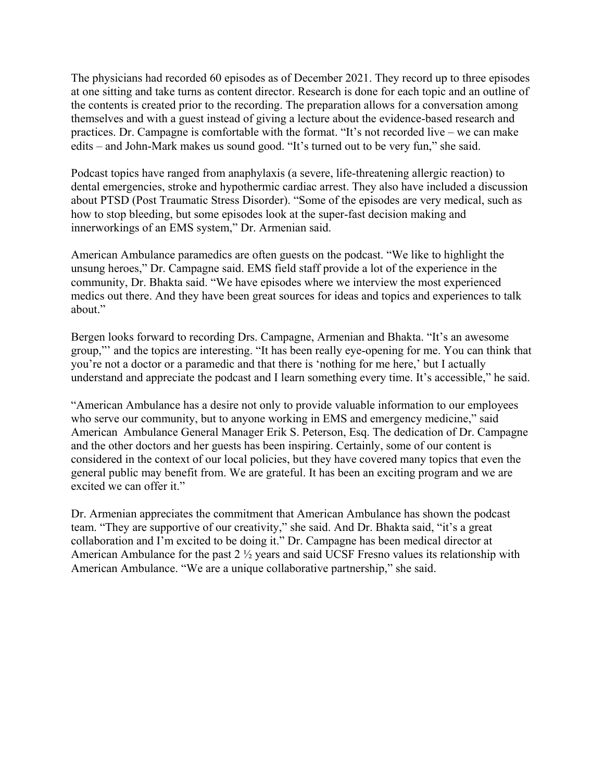The physicians had recorded 60 episodes as of December 2021. They record up to three episodes at one sitting and take turns as content director. Research is done for each topic and an outline of the contents is created prior to the recording. The preparation allows for a conversation among themselves and with a guest instead of giving a lecture about the evidence-based research and practices. Dr. Campagne is comfortable with the format. "It's not recorded live – we can make edits – and John-Mark makes us sound good. "It's turned out to be very fun," she said.

Podcast topics have ranged from anaphylaxis (a severe, life-threatening allergic reaction) to dental emergencies, stroke and hypothermic cardiac arrest. They also have included a discussion about PTSD (Post Traumatic Stress Disorder). "Some of the episodes are very medical, such as how to stop bleeding, but some episodes look at the super-fast decision making and innerworkings of an EMS system," Dr. Armenian said.

American Ambulance paramedics are often guests on the podcast. "We like to highlight the unsung heroes," Dr. Campagne said. EMS field staff provide a lot of the experience in the community, Dr. Bhakta said. "We have episodes where we interview the most experienced medics out there. And they have been great sources for ideas and topics and experiences to talk about."

Bergen looks forward to recording Drs. Campagne, Armenian and Bhakta. "It's an awesome group,"' and the topics are interesting. "It has been really eye-opening for me. You can think that you're not a doctor or a paramedic and that there is 'nothing for me here,' but I actually understand and appreciate the podcast and I learn something every time. It's accessible," he said.

"American Ambulance has a desire not only to provide valuable information to our employees who serve our community, but to anyone working in EMS and emergency medicine," said American Ambulance General Manager Erik S. Peterson, Esq. The dedication of Dr. Campagne and the other doctors and her guests has been inspiring. Certainly, some of our content is considered in the context of our local policies, but they have covered many topics that even the general public may benefit from. We are grateful. It has been an exciting program and we are excited we can offer it."

Dr. Armenian appreciates the commitment that American Ambulance has shown the podcast team. "They are supportive of our creativity," she said. And Dr. Bhakta said, "it's a great collaboration and I'm excited to be doing it." Dr. Campagne has been medical director at American Ambulance for the past 2 ½ years and said UCSF Fresno values its relationship with American Ambulance. "We are a unique collaborative partnership," she said.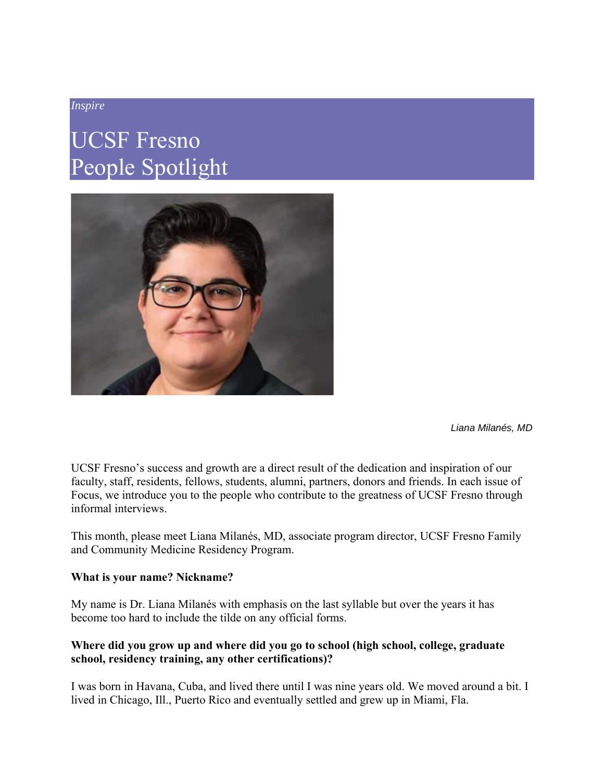#### *Inspire*

### UCSF Fresno People Spotlight



*Liana Milanés, MD*

UCSF Fresno's success and growth are a direct result of the dedication and inspiration of our faculty, staff, residents, fellows, students, alumni, partners, donors and friends. In each issue of Focus, we introduce you to the people who contribute to the greatness of UCSF Fresno through informal interviews.

This month, please meet Liana Milanés, MD, associate program director, UCSF Fresno Family and Community Medicine Residency Program.

#### **What is your name? Nickname?**

My name is Dr. Liana Milanés with emphasis on the last syllable but over the years it has become too hard to include the tilde on any official forms.

#### **Where did you grow up and where did you go to school (high school, college, graduate school, residency training, any other certifications)?**

I was born in Havana, Cuba, and lived there until I was nine years old. We moved around a bit. I lived in Chicago, Ill., Puerto Rico and eventually settled and grew up in Miami, Fla.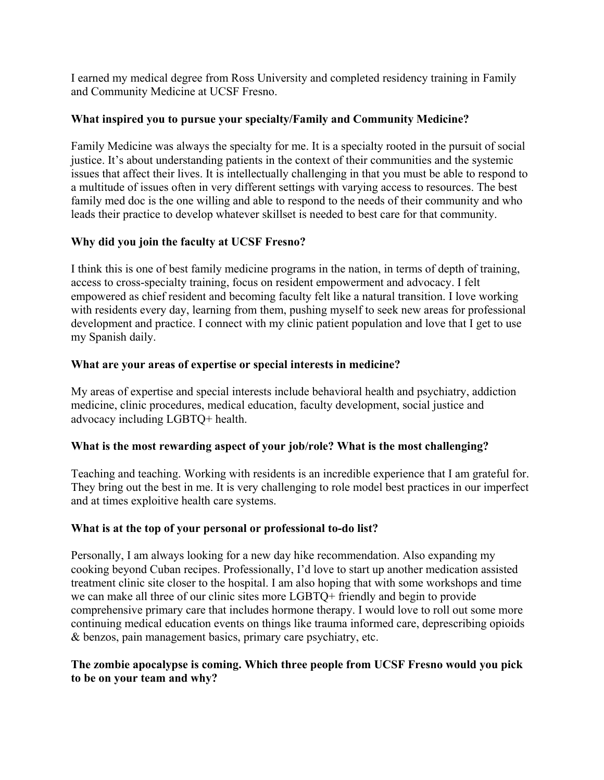I earned my medical degree from Ross University and completed residency training in Family and Community Medicine at UCSF Fresno.

#### **What inspired you to pursue your specialty/Family and Community Medicine?**

Family Medicine was always the specialty for me. It is a specialty rooted in the pursuit of social justice. It's about understanding patients in the context of their communities and the systemic issues that affect their lives. It is intellectually challenging in that you must be able to respond to a multitude of issues often in very different settings with varying access to resources. The best family med doc is the one willing and able to respond to the needs of their community and who leads their practice to develop whatever skillset is needed to best care for that community.

#### **Why did you join the faculty at UCSF Fresno?**

I think this is one of best family medicine programs in the nation, in terms of depth of training, access to cross-specialty training, focus on resident empowerment and advocacy. I felt empowered as chief resident and becoming faculty felt like a natural transition. I love working with residents every day, learning from them, pushing myself to seek new areas for professional development and practice. I connect with my clinic patient population and love that I get to use my Spanish daily.

#### **What are your areas of expertise or special interests in medicine?**

My areas of expertise and special interests include behavioral health and psychiatry, addiction medicine, clinic procedures, medical education, faculty development, social justice and advocacy including LGBTQ+ health.

#### **What is the most rewarding aspect of your job/role? What is the most challenging?**

Teaching and teaching. Working with residents is an incredible experience that I am grateful for. They bring out the best in me. It is very challenging to role model best practices in our imperfect and at times exploitive health care systems.

#### **What is at the top of your personal or professional to-do list?**

Personally, I am always looking for a new day hike recommendation. Also expanding my cooking beyond Cuban recipes. Professionally, I'd love to start up another medication assisted treatment clinic site closer to the hospital. I am also hoping that with some workshops and time we can make all three of our clinic sites more LGBTQ+ friendly and begin to provide comprehensive primary care that includes hormone therapy. I would love to roll out some more continuing medical education events on things like trauma informed care, deprescribing opioids & benzos, pain management basics, primary care psychiatry, etc.

#### **The zombie apocalypse is coming. Which three people from UCSF Fresno would you pick to be on your team and why?**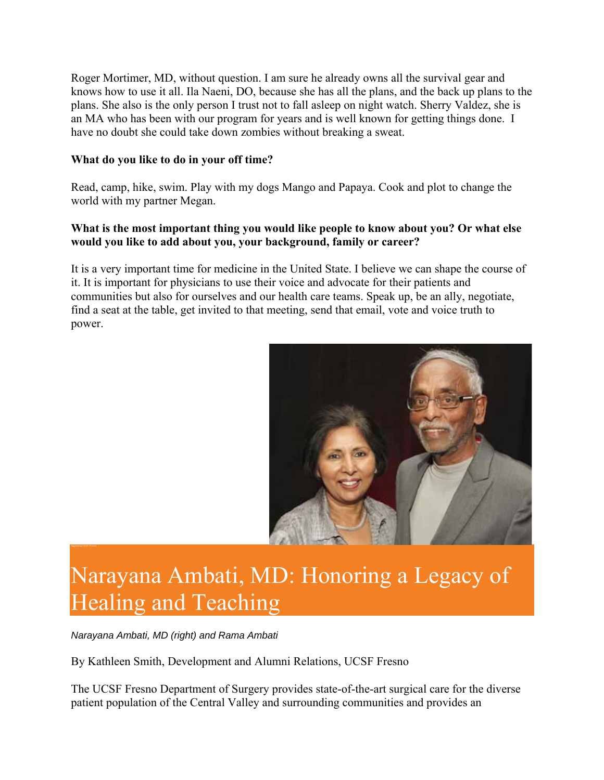Roger Mortimer, MD, without question. I am sure he already owns all the survival gear and knows how to use it all. Ila Naeni, DO, because she has all the plans, and the back up plans to the plans. She also is the only person I trust not to fall asleep on night watch. Sherry Valdez, she is an MA who has been with our program for years and is well known for getting things done. I have no doubt she could take down zombies without breaking a sweat.

#### **What do you like to do in your off time?**

Read, camp, hike, swim. Play with my dogs Mango and Papaya. Cook and plot to change the world with my partner Megan.

#### **What is the most important thing you would like people to know about you? Or what else would you like to add about you, your background, family or career?**

It is a very important time for medicine in the United State. I believe we can shape the course of it. It is important for physicians to use their voice and advocate for their patients and communities but also for ourselves and our health care teams. Speak up, be an ally, negotiate, find a seat at the table, get invited to that meeting, send that email, vote and voice truth to power.



## Narayana Ambati, MD: Honoring a Legacy of Healing and Teaching

*Narayana Ambati, MD (right) and Rama Ambati*

By Kathleen Smith, Development and Alumni Relations, UCSF Fresno

The UCSF Fresno Department of Surgery provides state-of-the-art surgical care for the diverse patient population of the Central Valley and surrounding communities and provides an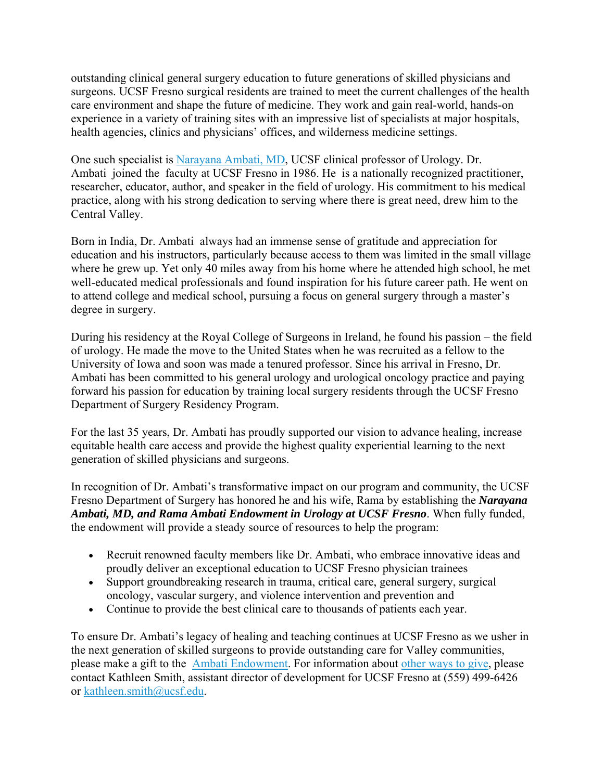outstanding clinical general surgery education to future generations of skilled physicians and surgeons. UCSF Fresno surgical residents are trained to meet the current challenges of the health care environment and shape the future of medicine. They work and gain real-world, hands-on experience in a variety of training sites with an impressive list of specialists at major hospitals, health agencies, clinics and physicians' offices, and wilderness medicine settings.

One such specialist is Narayana Ambati, MD, UCSF clinical professor of Urology. Dr. Ambati joined the faculty at UCSF Fresno in 1986. He is a nationally recognized practitioner, researcher, educator, author, and speaker in the field of urology. His commitment to his medical practice, along with his strong dedication to serving where there is great need, drew him to the Central Valley.

Born in India, Dr. Ambati always had an immense sense of gratitude and appreciation for education and his instructors, particularly because access to them was limited in the small village where he grew up. Yet only 40 miles away from his home where he attended high school, he met well-educated medical professionals and found inspiration for his future career path. He went on to attend college and medical school, pursuing a focus on general surgery through a master's degree in surgery.

During his residency at the Royal College of Surgeons in Ireland, he found his passion – the field of urology. He made the move to the United States when he was recruited as a fellow to the University of Iowa and soon was made a tenured professor. Since his arrival in Fresno, Dr. Ambati has been committed to his general urology and urological oncology practice and paying forward his passion for education by training local surgery residents through the UCSF Fresno Department of Surgery Residency Program.

For the last 35 years, Dr. Ambati has proudly supported our vision to advance healing, increase equitable health care access and provide the highest quality experiential learning to the next generation of skilled physicians and surgeons.

In recognition of Dr. Ambati's transformative impact on our program and community, the UCSF Fresno Department of Surgery has honored he and his wife, Rama by establishing the *Narayana Ambati, MD, and Rama Ambati Endowment in Urology at UCSF Fresno*. When fully funded, the endowment will provide a steady source of resources to help the program:

- Recruit renowned faculty members like Dr. Ambati, who embrace innovative ideas and proudly deliver an exceptional education to UCSF Fresno physician trainees
- Support groundbreaking research in trauma, critical care, general surgery, surgical oncology, vascular surgery, and violence intervention and prevention and
- Continue to provide the best clinical care to thousands of patients each year.

To ensure Dr. Ambati's legacy of healing and teaching continues at UCSF Fresno as we usher in the next generation of skilled surgeons to provide outstanding care for Valley communities, please make a gift to the Ambati Endowment. For information about other ways to give, please contact Kathleen Smith, assistant director of development for UCSF Fresno at (559) 499-6426 or kathleen.smith@ucsf.edu.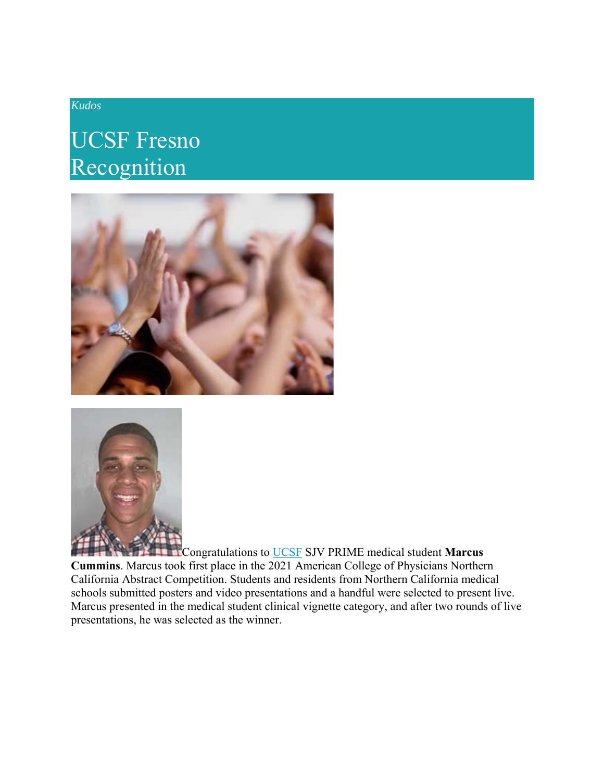#### *Kudos*

### UCSF Fresno Recognition





Congratulations to UCSF SJV PRIME medical student **Marcus Cummins**. Marcus took first place in the 2021 American College of Physicians Northern California Abstract Competition. Students and residents from Northern California medical schools submitted posters and video presentations and a handful were selected to present live. Marcus presented in the medical student clinical vignette category, and after two rounds of live presentations, he was selected as the winner.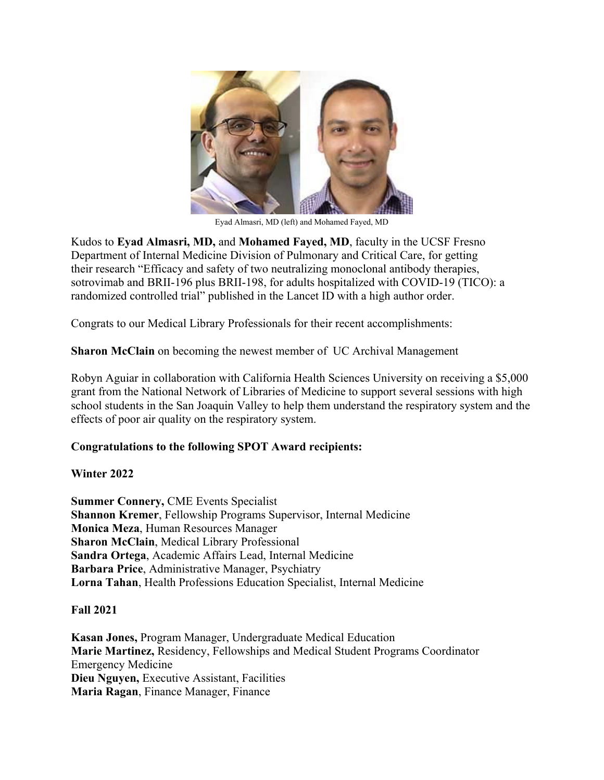

Eyad Almasri, MD (left) and Mohamed Fayed, MD

Kudos to **Eyad Almasri, MD,** and **Mohamed Fayed, MD**, faculty in the UCSF Fresno Department of Internal Medicine Division of Pulmonary and Critical Care, for getting their research "Efficacy and safety of two neutralizing monoclonal antibody therapies, sotrovimab and BRII-196 plus BRII-198, for adults hospitalized with COVID-19 (TICO): a randomized controlled trial" published in the Lancet ID with a high author order.

Congrats to our Medical Library Professionals for their recent accomplishments:

**Sharon McClain** on becoming the newest member of UC Archival Management

Robyn Aguiar in collaboration with California Health Sciences University on receiving a \$5,000 grant from the National Network of Libraries of Medicine to support several sessions with high school students in the San Joaquin Valley to help them understand the respiratory system and the effects of poor air quality on the respiratory system.

#### **Congratulations to the following SPOT Award recipients:**

#### **Winter 2022**

**Summer Connery,** CME Events Specialist **Shannon Kremer**, Fellowship Programs Supervisor, Internal Medicine **Monica Meza**, Human Resources Manager **Sharon McClain**, Medical Library Professional **Sandra Ortega**, Academic Affairs Lead, Internal Medicine **Barbara Price**, Administrative Manager, Psychiatry **Lorna Tahan**, Health Professions Education Specialist, Internal Medicine

#### **Fall 2021**

**Kasan Jones,** Program Manager, Undergraduate Medical Education **Marie Martinez,** Residency, Fellowships and Medical Student Programs Coordinator Emergency Medicine **Dieu Nguyen,** Executive Assistant, Facilities **Maria Ragan**, Finance Manager, Finance